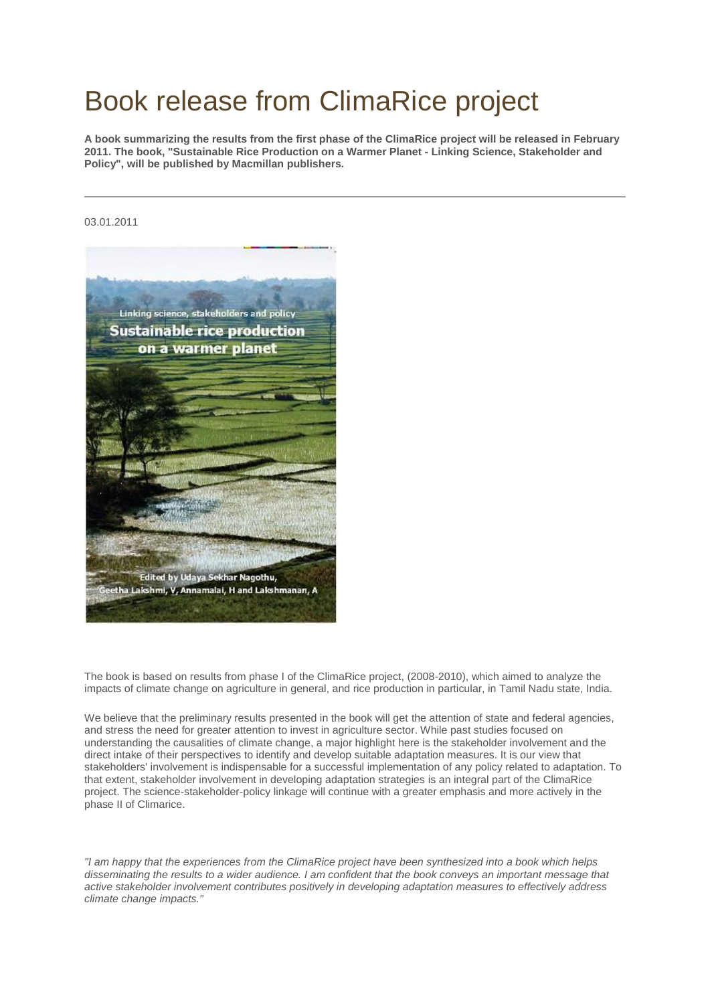## Book release from ClimaRice project

**A book summarizing the results from the first phase of the ClimaRice project will be released in February 2011. The book, "Sustainable Rice Production on a Warmer Planet - Linking Science, Stakeholder and Policy", will be published by Macmillan publishers.**

## 03.01.2011



The book is based on results from phase I of the ClimaRice project, (2008-2010), which aimed to analyze the impacts of climate change on agriculture in general, and rice production in particular, in Tamil Nadu state, India.

We believe that the preliminary results presented in the book will get the attention of state and federal agencies, and stress the need for greater attention to invest in agriculture sector. While past studies focused on understanding the causalities of climate change, a major highlight here is the stakeholder involvement and the direct intake of their perspectives to identify and develop suitable adaptation measures. It is our view that stakeholders' involvement is indispensable for a successful implementation of any policy related to adaptation. To that extent, stakeholder involvement in developing adaptation strategies is an integral part of the ClimaRice project. The science-stakeholder-policy linkage will continue with a greater emphasis and more actively in the phase II of Climarice.

*"I am happy that the experiences from the ClimaRice project have been synthesized into a book which helps*  disseminating the results to a wider audience. I am confident that the book conveys an important message that *active stakeholder involvement contributes positively in developing adaptation measures to effectively address climate change impacts."*